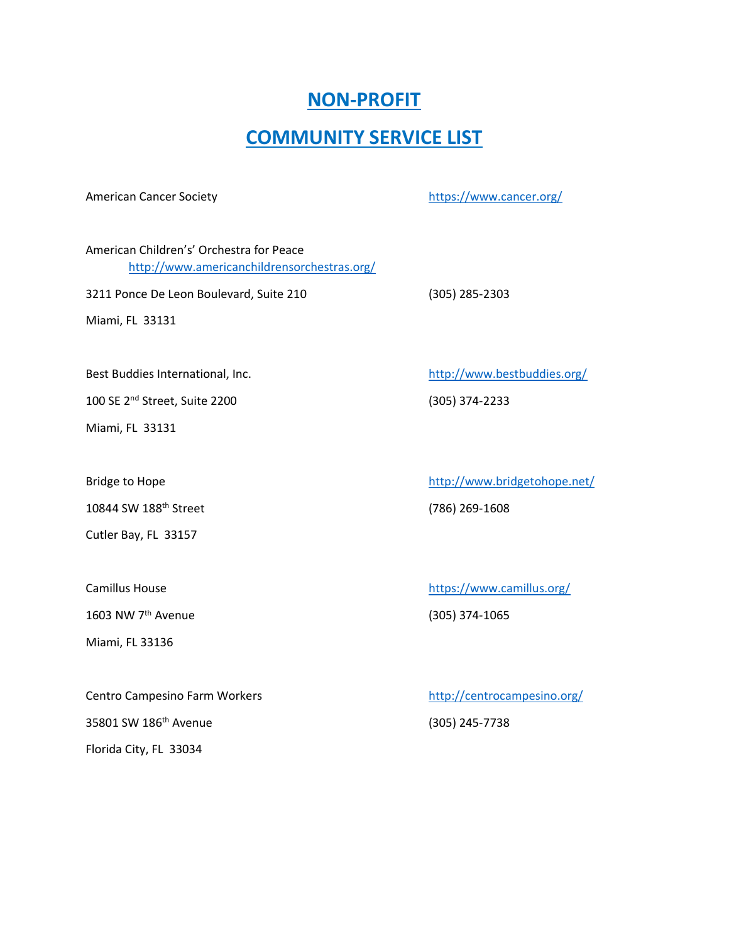## **NON-PROFIT**

## **COMMUNITY SERVICE LIST**

American Cancer Society <https://www.cancer.org/>

American Children's' Orchestra for Peace <http://www.americanchildrensorchestras.org/>

3211 Ponce De Leon Boulevard, Suite 210 (305) 285-2303

Miami, FL 33131

100 SE 2nd Street, Suite 2200 (305) 374-2233

Miami, FL 33131

10844 SW 188th Street (786) 269-1608

Cutler Bay, FL 33157

1603 NW 7th Avenue (305) 374-1065

Miami, FL 33136

Centro Campesino Farm Workers <http://centrocampesino.org/> 35801 SW 186th Avenue (305) 245-7738 Florida City, FL 33034

Best Buddies International, Inc. <http://www.bestbuddies.org/>

Bridge to Hope <http://www.bridgetohope.net/>

Camillus House <https://www.camillus.org/>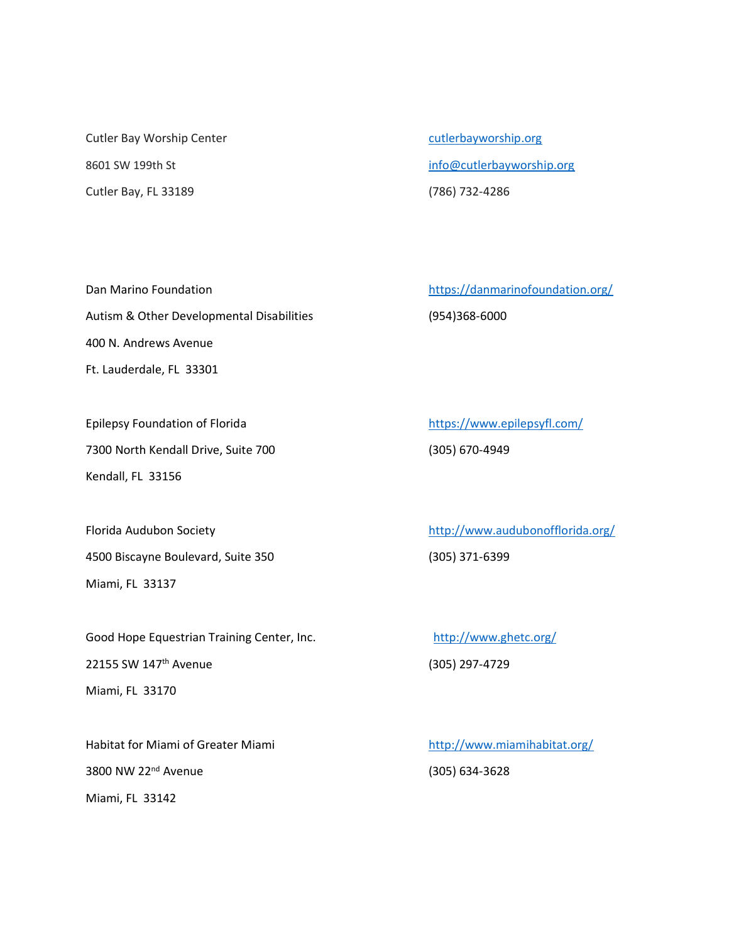Cutler Bay Worship Center [cutlerbayworship.org](https://nam10.safelinks.protection.outlook.com/?url=http%3A%2F%2Fcutlerbayworship.org%2F&data=04%7C01%7C%7C4f7b0ed786724cc4108108d9aaad794f%7C4578f68f86cd4af9b31793e3826ca0f5%7C0%7C0%7C637728485776377457%7CUnknown%7CTWFpbGZsb3d8eyJWIjoiMC4wLjAwMDAiLCJQIjoiV2luMzIiLCJBTiI6Ik1haWwiLCJXVCI6Mn0%3D%7C1000&sdata=cx%2BLbYHAMm9u%2FWt8TZoMkEGtlsjS6caqSq10xE%2F8IgI%3D&reserved=0) Cutler Bay, FL 33189 (786) 732-4286

8601 SW 199th St [info@cutlerbayworship.org](mailto:info@cutlerbayworship.org)

Dan Marino Foundation <https://danmarinofoundation.org/> Autism & Other Developmental Disabilities (954)368-6000 400 N. Andrews Avenue Ft. Lauderdale, FL 33301

Epilepsy Foundation of Florida <https://www.epilepsyfl.com/> 7300 North Kendall Drive, Suite 700 (305) 670-4949 Kendall, FL 33156

4500 Biscayne Boulevard, Suite 350 (305) 371-6399 Miami, FL 33137

Good Hope Equestrian Training Center, Inc. <http://www.ghetc.org/> 22155 SW 147th Avenue (305) 297-4729 Miami, FL 33170

Habitat for Miami of Greater Miami <http://www.miamihabitat.org/> 3800 NW 22nd Avenue (305) 634-3628 Miami, FL 33142

Florida Audubon Society <http://www.audubonofflorida.org/>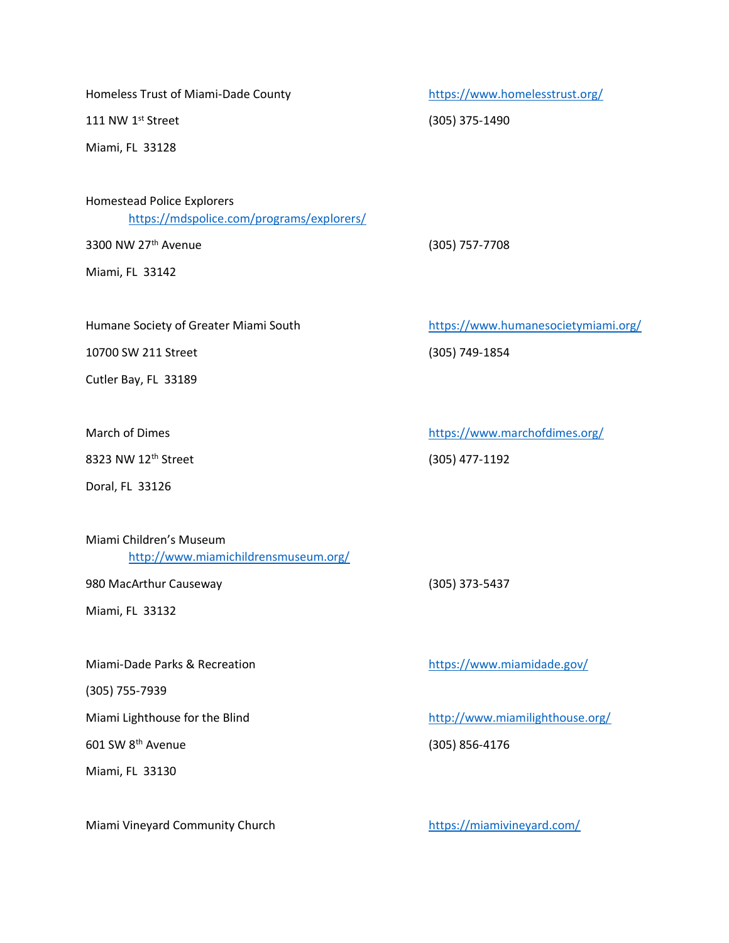Homeless Trust of Miami-Dade County <https://www.homelesstrust.org/>

111 NW 1st Street (305) 375-1490

Miami, FL 33128

Homestead Police Explorers <https://mdspolice.com/programs/explorers/>

3300 NW 27th Avenue (305) 757-7708

Miami, FL 33142

Humane Society of Greater Miami South <https://www.humanesocietymiami.org/>

10700 SW 211 Street (305) 749-1854

Cutler Bay, FL 33189

8323 NW 12th Street (305) 477-1192

Doral, FL 33126

Miami Children's Museum <http://www.miamichildrensmuseum.org/>

980 MacArthur Causeway (305) 373-5437

Miami, FL 33132

Miami-Dade Parks & Recreation <https://www.miamidade.gov/>

(305) 755-7939

601 SW 8th Avenue (305) 856-4176

Miami, FL 33130

Miami Vineyard Community Church <https://miamivineyard.com/>

March of Dimes <https://www.marchofdimes.org/>

Miami Lighthouse for the Blind <http://www.miamilighthouse.org/>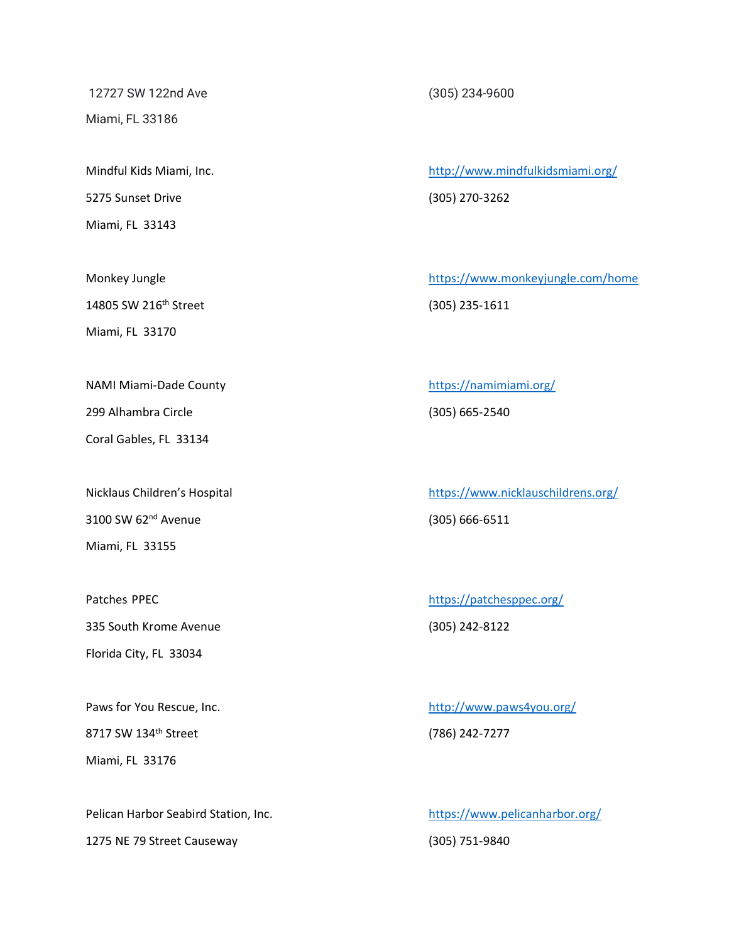12727 SW 122nd Ave (305) 234-9600 Miami, FL 33186

5275 Sunset Drive (305) 270-3262 Miami, FL 33143

14805 SW 216th Street (305) 235-1611

Miami, FL 33170

Coral Gables, FL 33134

3100 SW 62nd Avenue (305) 666-6511 Miami, FL 33155

335 South Krome Avenue (305) 242-8122

Florida City, FL 33034

8717 SW 134<sup>th</sup> Street (786) 242-7277 Miami, FL 33176

Pelican Harbor Seabird Station, Inc. <https://www.pelicanharbor.org/> 1275 NE 79 Street Causeway (305) 751-9840

Mindful Kids Miami, Inc. <http://www.mindfulkidsmiami.org/>

Monkey Jungle **Monkey Jungle** <https://www.monkeyjungle.com/home>

NAMI Miami-Dade County <https://namimiami.org/> 299 Alhambra Circle (305) 665-2540

Nicklaus Children's Hospital <https://www.nicklauschildrens.org/>

Patches PPEC <https://patchesppec.org/>

Paws for You Rescue, Inc. <http://www.paws4you.org/>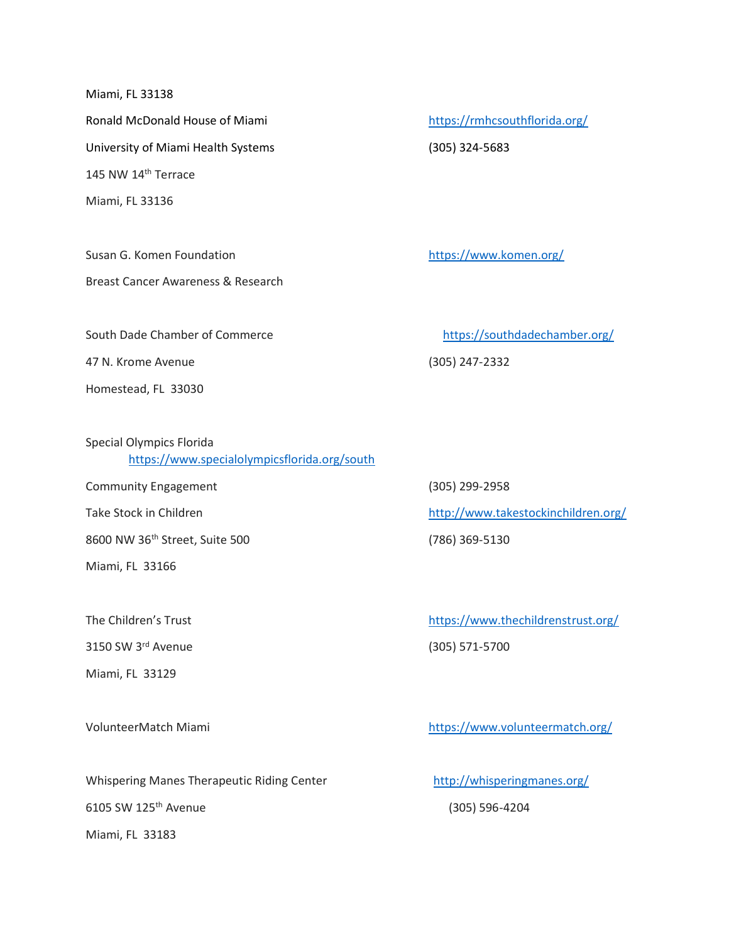Miami, FL 33138

University of Miami Health Systems (305) 324-5683 145 NW 14th Terrace Miami, FL 33136

Susan G. Komen Foundation <https://www.komen.org/>

Breast Cancer Awareness & Research

Ronald McDonald House of Miami <https://rmhcsouthflorida.org/>

47 N. Krome Avenue (305) 247-2332

Homestead, FL 33030

Special Olympics Florida <https://www.specialolympicsflorida.org/south>

Community Engagement (305) 299-2958

8600 NW 36th Street, Suite 500 (786) 369-5130

Miami, FL 33166

3150 SW 3rd Avenue (305) 571-5700

Miami, FL 33129

Whispering Manes Therapeutic Riding Center <http://whisperingmanes.org/> 6105 SW 125th Avenue (305) 596-4204 Miami, FL 33183

South Dade Chamber of Commerce <https://southdadechamber.org/>

Take Stock in Children http://www.takestockinchildren.org/

The Children's Trust <https://www.thechildrenstrust.org/>

VolunteerMatch Miami <https://www.volunteermatch.org/>